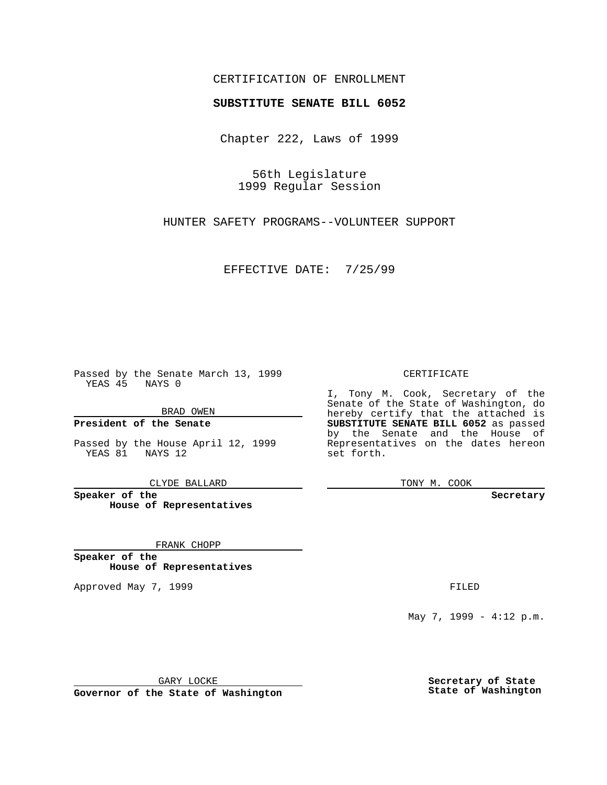## CERTIFICATION OF ENROLLMENT

## **SUBSTITUTE SENATE BILL 6052**

Chapter 222, Laws of 1999

56th Legislature 1999 Regular Session

HUNTER SAFETY PROGRAMS--VOLUNTEER SUPPORT

EFFECTIVE DATE: 7/25/99

Passed by the Senate March 13, 1999 YEAS 45 NAYS 0

BRAD OWEN

**President of the Senate**

Passed by the House April 12, 1999 YEAS 81 NAYS 12

CLYDE BALLARD

**Speaker of the House of Representatives**

FRANK CHOPP

**Speaker of the House of Representatives**

Approved May 7, 1999 **FILED** 

CERTIFICATE

I, Tony M. Cook, Secretary of the Senate of the State of Washington, do hereby certify that the attached is **SUBSTITUTE SENATE BILL 6052** as passed by the Senate and the House of Representatives on the dates hereon set forth.

TONY M. COOK

**Secretary**

May 7, 1999 - 4:12 p.m.

GARY LOCKE

**Governor of the State of Washington**

**Secretary of State State of Washington**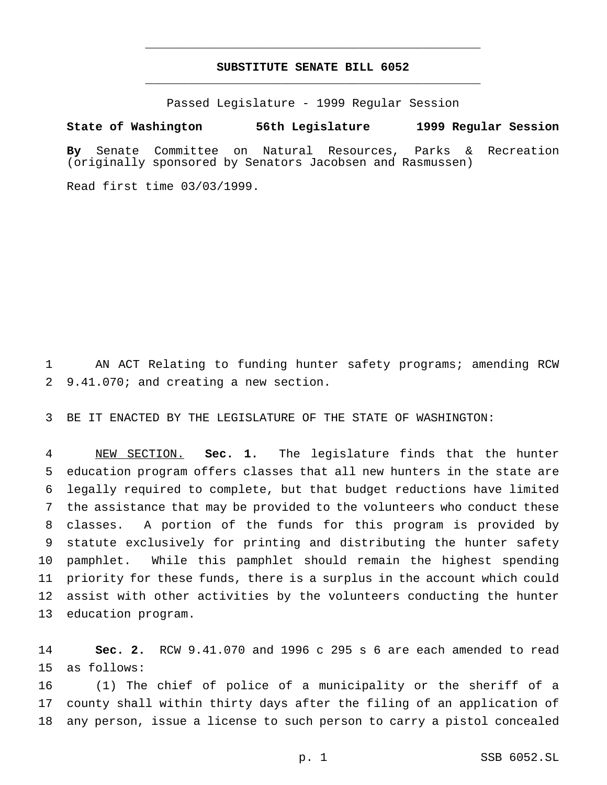## **SUBSTITUTE SENATE BILL 6052** \_\_\_\_\_\_\_\_\_\_\_\_\_\_\_\_\_\_\_\_\_\_\_\_\_\_\_\_\_\_\_\_\_\_\_\_\_\_\_\_\_\_\_\_\_\_\_

\_\_\_\_\_\_\_\_\_\_\_\_\_\_\_\_\_\_\_\_\_\_\_\_\_\_\_\_\_\_\_\_\_\_\_\_\_\_\_\_\_\_\_\_\_\_\_

Passed Legislature - 1999 Regular Session

## **State of Washington 56th Legislature 1999 Regular Session**

**By** Senate Committee on Natural Resources, Parks & Recreation (originally sponsored by Senators Jacobsen and Rasmussen)

Read first time 03/03/1999.

 AN ACT Relating to funding hunter safety programs; amending RCW 9.41.070; and creating a new section.

BE IT ENACTED BY THE LEGISLATURE OF THE STATE OF WASHINGTON:

 NEW SECTION. **Sec. 1.** The legislature finds that the hunter education program offers classes that all new hunters in the state are legally required to complete, but that budget reductions have limited the assistance that may be provided to the volunteers who conduct these classes. A portion of the funds for this program is provided by statute exclusively for printing and distributing the hunter safety pamphlet. While this pamphlet should remain the highest spending priority for these funds, there is a surplus in the account which could assist with other activities by the volunteers conducting the hunter education program.

 **Sec. 2.** RCW 9.41.070 and 1996 c 295 s 6 are each amended to read as follows:

 (1) The chief of police of a municipality or the sheriff of a county shall within thirty days after the filing of an application of any person, issue a license to such person to carry a pistol concealed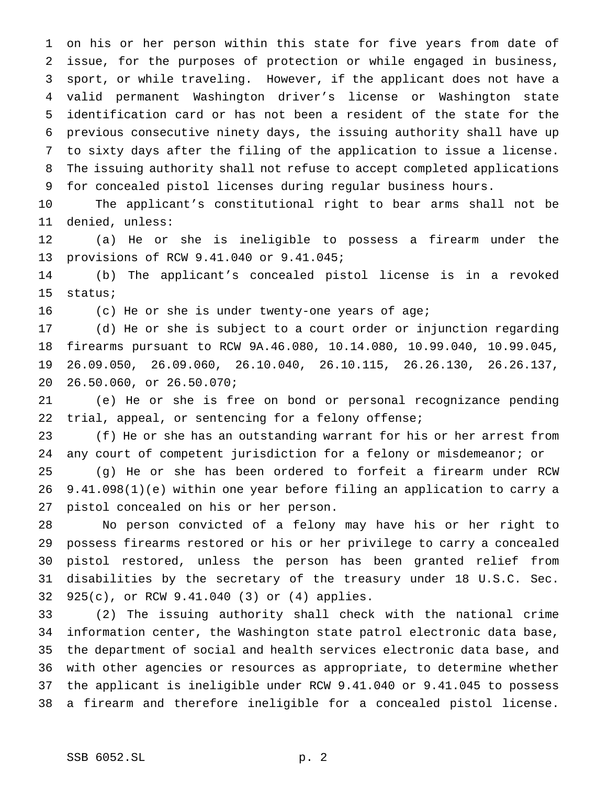on his or her person within this state for five years from date of issue, for the purposes of protection or while engaged in business, sport, or while traveling. However, if the applicant does not have a valid permanent Washington driver's license or Washington state identification card or has not been a resident of the state for the previous consecutive ninety days, the issuing authority shall have up to sixty days after the filing of the application to issue a license. The issuing authority shall not refuse to accept completed applications for concealed pistol licenses during regular business hours.

 The applicant's constitutional right to bear arms shall not be denied, unless:

 (a) He or she is ineligible to possess a firearm under the provisions of RCW 9.41.040 or 9.41.045;

 (b) The applicant's concealed pistol license is in a revoked status;

(c) He or she is under twenty-one years of age;

 (d) He or she is subject to a court order or injunction regarding firearms pursuant to RCW 9A.46.080, 10.14.080, 10.99.040, 10.99.045, 26.09.050, 26.09.060, 26.10.040, 26.10.115, 26.26.130, 26.26.137, 26.50.060, or 26.50.070;

 (e) He or she is free on bond or personal recognizance pending trial, appeal, or sentencing for a felony offense;

 (f) He or she has an outstanding warrant for his or her arrest from any court of competent jurisdiction for a felony or misdemeanor; or

 (g) He or she has been ordered to forfeit a firearm under RCW 9.41.098(1)(e) within one year before filing an application to carry a pistol concealed on his or her person.

 No person convicted of a felony may have his or her right to possess firearms restored or his or her privilege to carry a concealed pistol restored, unless the person has been granted relief from disabilities by the secretary of the treasury under 18 U.S.C. Sec. 925(c), or RCW 9.41.040 (3) or (4) applies.

 (2) The issuing authority shall check with the national crime information center, the Washington state patrol electronic data base, the department of social and health services electronic data base, and with other agencies or resources as appropriate, to determine whether the applicant is ineligible under RCW 9.41.040 or 9.41.045 to possess a firearm and therefore ineligible for a concealed pistol license.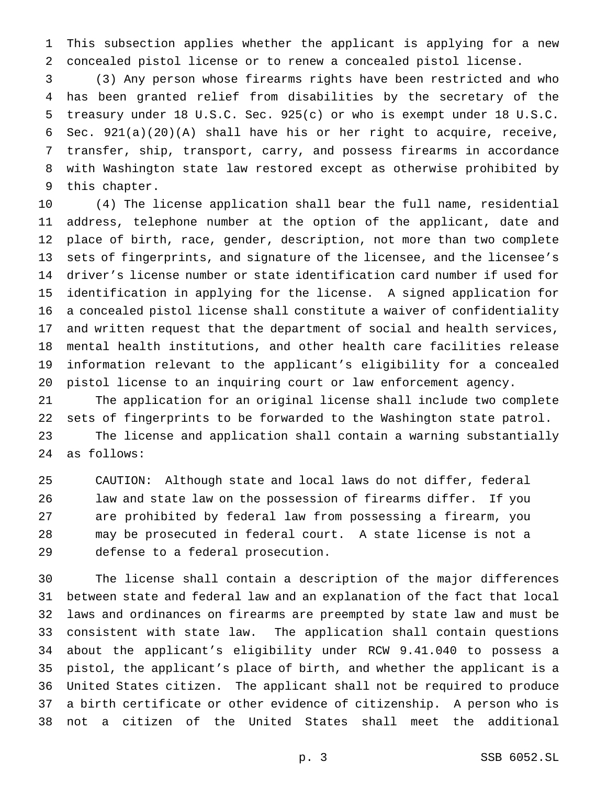This subsection applies whether the applicant is applying for a new concealed pistol license or to renew a concealed pistol license.

 (3) Any person whose firearms rights have been restricted and who has been granted relief from disabilities by the secretary of the treasury under 18 U.S.C. Sec. 925(c) or who is exempt under 18 U.S.C. Sec. 921(a)(20)(A) shall have his or her right to acquire, receive, transfer, ship, transport, carry, and possess firearms in accordance with Washington state law restored except as otherwise prohibited by this chapter.

 (4) The license application shall bear the full name, residential address, telephone number at the option of the applicant, date and place of birth, race, gender, description, not more than two complete sets of fingerprints, and signature of the licensee, and the licensee's driver's license number or state identification card number if used for identification in applying for the license. A signed application for a concealed pistol license shall constitute a waiver of confidentiality and written request that the department of social and health services, mental health institutions, and other health care facilities release information relevant to the applicant's eligibility for a concealed pistol license to an inquiring court or law enforcement agency.

 The application for an original license shall include two complete sets of fingerprints to be forwarded to the Washington state patrol. The license and application shall contain a warning substantially as follows:

 CAUTION: Although state and local laws do not differ, federal law and state law on the possession of firearms differ. If you are prohibited by federal law from possessing a firearm, you may be prosecuted in federal court. A state license is not a defense to a federal prosecution.

 The license shall contain a description of the major differences between state and federal law and an explanation of the fact that local laws and ordinances on firearms are preempted by state law and must be consistent with state law. The application shall contain questions about the applicant's eligibility under RCW 9.41.040 to possess a pistol, the applicant's place of birth, and whether the applicant is a United States citizen. The applicant shall not be required to produce a birth certificate or other evidence of citizenship. A person who is not a citizen of the United States shall meet the additional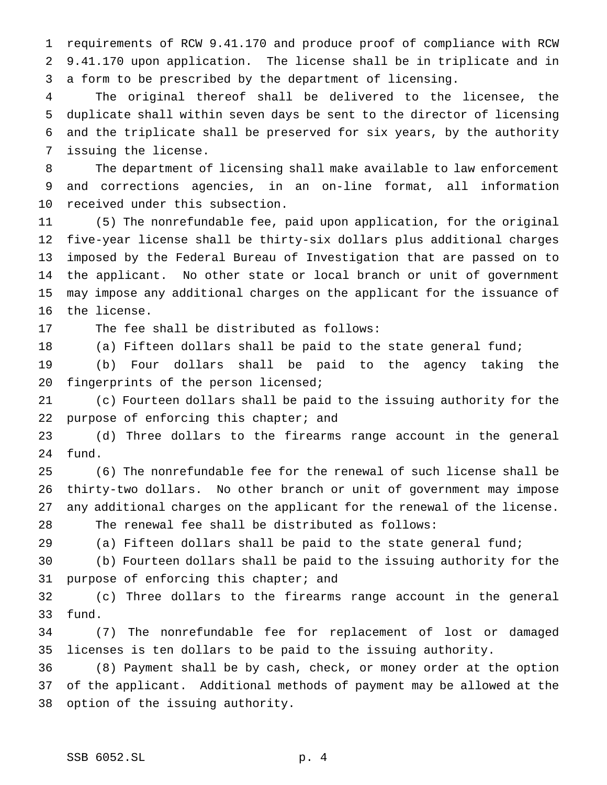requirements of RCW 9.41.170 and produce proof of compliance with RCW 9.41.170 upon application. The license shall be in triplicate and in a form to be prescribed by the department of licensing.

 The original thereof shall be delivered to the licensee, the duplicate shall within seven days be sent to the director of licensing and the triplicate shall be preserved for six years, by the authority issuing the license.

 The department of licensing shall make available to law enforcement and corrections agencies, in an on-line format, all information received under this subsection.

 (5) The nonrefundable fee, paid upon application, for the original five-year license shall be thirty-six dollars plus additional charges imposed by the Federal Bureau of Investigation that are passed on to the applicant. No other state or local branch or unit of government may impose any additional charges on the applicant for the issuance of the license.

The fee shall be distributed as follows:

(a) Fifteen dollars shall be paid to the state general fund;

 (b) Four dollars shall be paid to the agency taking the fingerprints of the person licensed;

 (c) Fourteen dollars shall be paid to the issuing authority for the 22 purpose of enforcing this chapter; and

 (d) Three dollars to the firearms range account in the general fund.

 (6) The nonrefundable fee for the renewal of such license shall be thirty-two dollars. No other branch or unit of government may impose any additional charges on the applicant for the renewal of the license. The renewal fee shall be distributed as follows:

(a) Fifteen dollars shall be paid to the state general fund;

 (b) Fourteen dollars shall be paid to the issuing authority for the purpose of enforcing this chapter; and

 (c) Three dollars to the firearms range account in the general fund.

 (7) The nonrefundable fee for replacement of lost or damaged licenses is ten dollars to be paid to the issuing authority.

 (8) Payment shall be by cash, check, or money order at the option of the applicant. Additional methods of payment may be allowed at the option of the issuing authority.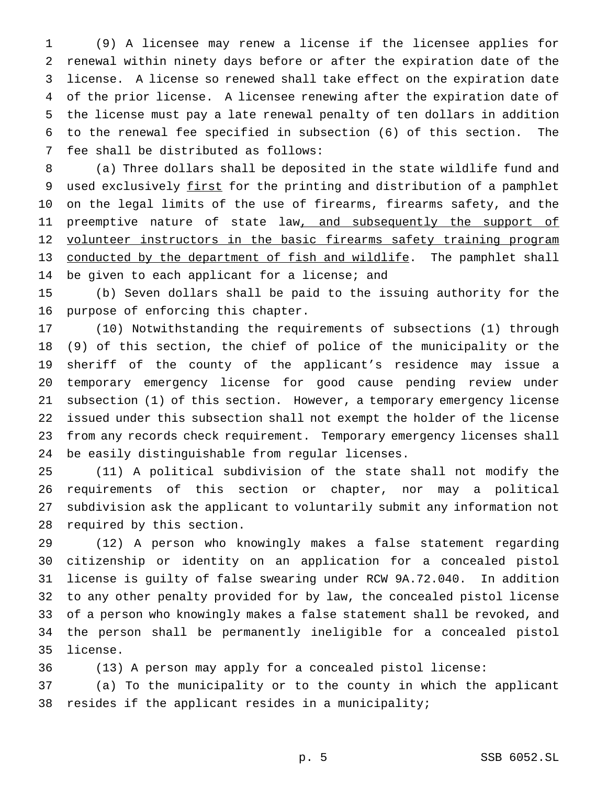(9) A licensee may renew a license if the licensee applies for renewal within ninety days before or after the expiration date of the license. A license so renewed shall take effect on the expiration date of the prior license. A licensee renewing after the expiration date of the license must pay a late renewal penalty of ten dollars in addition to the renewal fee specified in subsection (6) of this section. The fee shall be distributed as follows:

 (a) Three dollars shall be deposited in the state wildlife fund and 9 used exclusively first for the printing and distribution of a pamphlet on the legal limits of the use of firearms, firearms safety, and the 11 preemptive nature of state law, and subsequently the support of 12 volunteer instructors in the basic firearms safety training program conducted by the department of fish and wildlife. The pamphlet shall be given to each applicant for a license; and

 (b) Seven dollars shall be paid to the issuing authority for the purpose of enforcing this chapter.

 (10) Notwithstanding the requirements of subsections (1) through (9) of this section, the chief of police of the municipality or the sheriff of the county of the applicant's residence may issue a temporary emergency license for good cause pending review under subsection (1) of this section. However, a temporary emergency license issued under this subsection shall not exempt the holder of the license from any records check requirement. Temporary emergency licenses shall be easily distinguishable from regular licenses.

 (11) A political subdivision of the state shall not modify the requirements of this section or chapter, nor may a political subdivision ask the applicant to voluntarily submit any information not required by this section.

 (12) A person who knowingly makes a false statement regarding citizenship or identity on an application for a concealed pistol license is guilty of false swearing under RCW 9A.72.040. In addition to any other penalty provided for by law, the concealed pistol license of a person who knowingly makes a false statement shall be revoked, and the person shall be permanently ineligible for a concealed pistol license.

(13) A person may apply for a concealed pistol license:

 (a) To the municipality or to the county in which the applicant resides if the applicant resides in a municipality;